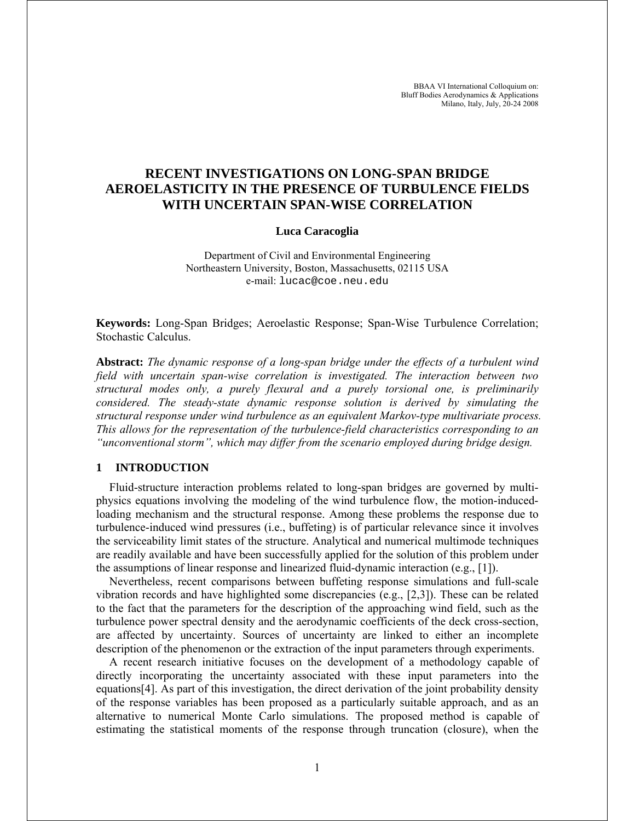# **RECENT INVESTIGATIONS ON LONG-SPAN BRIDGE AEROELASTICITY IN THE PRESENCE OF TURBULENCE FIELDS WITH UNCERTAIN SPAN-WISE CORRELATION**

#### **Luca Caracoglia**

Department of Civil and Environmental Engineering Northeastern University, Boston, Massachusetts, 02115 USA e-mail: lucac@coe.neu.edu

**Keywords:** Long-Span Bridges; Aeroelastic Response; Span-Wise Turbulence Correlation; Stochastic Calculus.

**Abstract:** *The dynamic response of a long-span bridge under the effects of a turbulent wind field with uncertain span-wise correlation is investigated. The interaction between two structural modes only, a purely flexural and a purely torsional one, is preliminarily considered. The steady-state dynamic response solution is derived by simulating the structural response under wind turbulence as an equivalent Markov-type multivariate process. This allows for the representation of the turbulence-field characteristics corresponding to an "unconventional storm", which may differ from the scenario employed during bridge design.* 

# **1 INTRODUCTION**

Fluid-structure interaction problems related to long-span bridges are governed by multiphysics equations involving the modeling of the wind turbulence flow, the motion-inducedloading mechanism and the structural response. Among these problems the response due to turbulence-induced wind pressures (i.e., buffeting) is of particular relevance since it involves the serviceability limit states of the structure. Analytical and numerical multimode techniques are readily available and have been successfully applied for the solution of this problem under the assumptions of linear response and linearized fluid-dynamic interaction (e.g., [1]).

Nevertheless, recent comparisons between buffeting response simulations and full-scale vibration records and have highlighted some discrepancies (e.g., [2,3]). These can be related to the fact that the parameters for the description of the approaching wind field, such as the turbulence power spectral density and the aerodynamic coefficients of the deck cross-section, are affected by uncertainty. Sources of uncertainty are linked to either an incomplete description of the phenomenon or the extraction of the input parameters through experiments.

A recent research initiative focuses on the development of a methodology capable of directly incorporating the uncertainty associated with these input parameters into the equations[4]. As part of this investigation, the direct derivation of the joint probability density of the response variables has been proposed as a particularly suitable approach, and as an alternative to numerical Monte Carlo simulations. The proposed method is capable of estimating the statistical moments of the response through truncation (closure), when the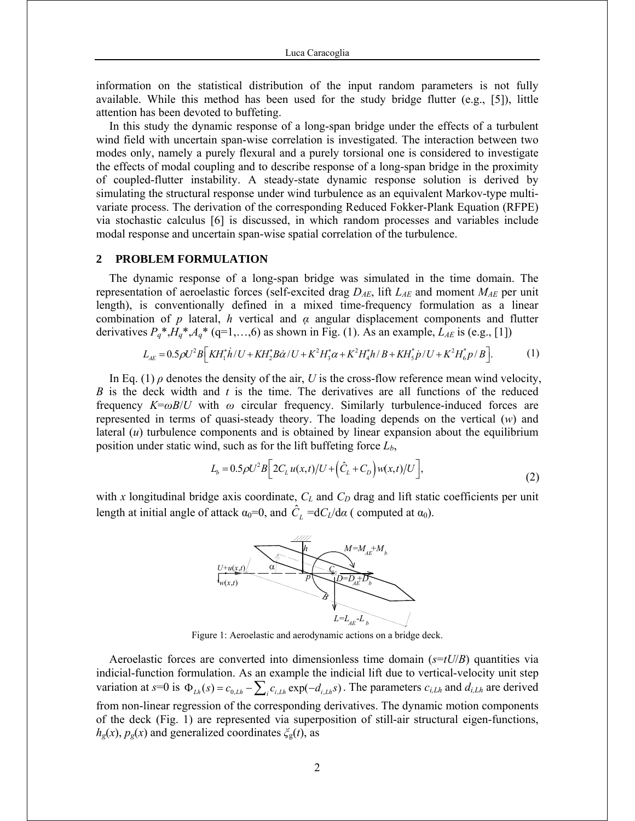information on the statistical distribution of the input random parameters is not fully available. While this method has been used for the study bridge flutter (e.g., [5]), little attention has been devoted to buffeting.

In this study the dynamic response of a long-span bridge under the effects of a turbulent wind field with uncertain span-wise correlation is investigated. The interaction between two modes only, namely a purely flexural and a purely torsional one is considered to investigate the effects of modal coupling and to describe response of a long-span bridge in the proximity of coupled-flutter instability. A steady-state dynamic response solution is derived by simulating the structural response under wind turbulence as an equivalent Markov-type multivariate process. The derivation of the corresponding Reduced Fokker-Plank Equation (RFPE) via stochastic calculus [6] is discussed, in which random processes and variables include modal response and uncertain span-wise spatial correlation of the turbulence.

### **2 PROBLEM FORMULATION**

The dynamic response of a long-span bridge was simulated in the time domain. The representation of aeroelastic forces (self-excited drag  $D_{AE}$ , lift  $L_{AE}$  and moment  $M_{AE}$  per unit length), is conventionally defined in a mixed time-frequency formulation as a linear combination of *p* lateral, *h* vertical and *α* angular displacement components and flutter derivatives  $P_q^*$ ,  $H_q^*$ ,  $A_q^*$  (q=1,...,6) as shown in Fig. (1). As an example,  $L_{AE}$  is (e.g., [1])

$$
L_{AE} = 0.5 \rho U^2 B \left[ K H_1^* \dot{h} / U + K H_2^* B \dot{\alpha} / U + K^2 H_3^* \alpha + K^2 H_4^* h / B + K H_5^* \dot{p} / U + K^2 H_6^* p / B \right].
$$
 (1)

In Eq. (1)  $\rho$  denotes the density of the air, *U* is the cross-flow reference mean wind velocity, *B* is the deck width and *t* is the time. The derivatives are all functions of the reduced frequency  $K=\omega B/U$  with  $\omega$  circular frequency. Similarly turbulence-induced forces are represented in terms of quasi-steady theory. The loading depends on the vertical (*w*) and lateral (*u*) turbulence components and is obtained by linear expansion about the equilibrium position under static wind, such as for the lift buffeting force *Lb*,

$$
L_b = 0.5 \rho U^2 B \Big[ 2C_L u(x,t) / U + (\hat{C}_L + C_D) w(x,t) / U \Big],
$$
\n(2)

with *x* longitudinal bridge axis coordinate,  $C_L$  and  $C_D$  drag and lift static coefficients per unit length at initial angle of attack  $\alpha_0=0$ , and  $\hat{C}_L = dC_L/d\alpha$  (computed at  $\alpha_0$ ).



Figure 1: Aeroelastic and aerodynamic actions on a bridge deck.

Aeroelastic forces are converted into dimensionless time domain (*s*=*tU*/*B*) quantities via indicial-function formulation. As an example the indicial lift due to vertical-velocity unit step variation at  $s=0$  is  $\Phi_{Lh}(s) = c_{0,Lh} - \sum_{i} c_{i,Lh} \exp(-d_{i,Lh}s)$ . The parameters  $c_{i,Lh}$  and  $d_{i,Lh}$  are derived from non-linear regression of the corresponding derivatives. The dynamic motion components of the deck (Fig. 1) are represented via superposition of still-air structural eigen-functions,  $h<sub>g</sub>(x)$ ,  $p<sub>g</sub>(x)$  and generalized coordinates  $\zeta<sub>g</sub>(t)$ , as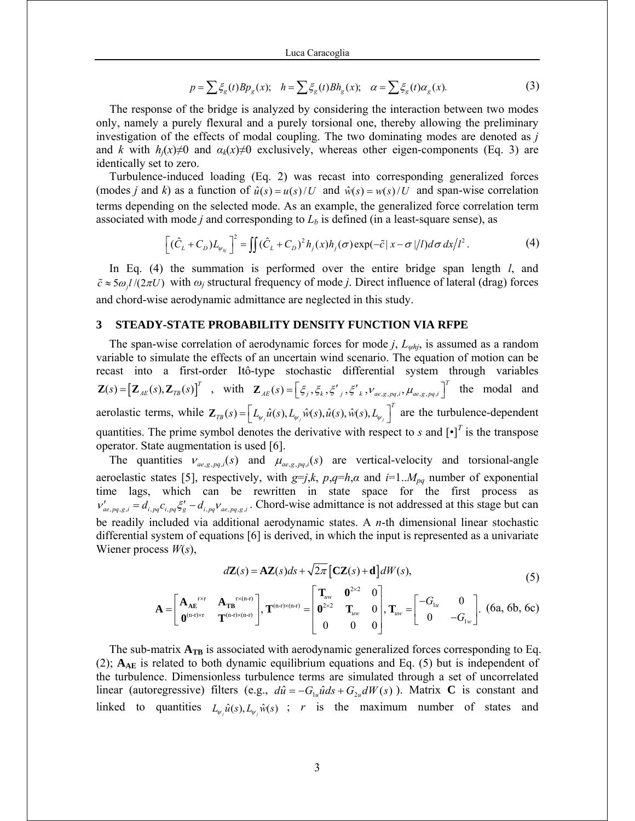$$
p = \sum \xi_{g}(t) B p_{g}(x); \quad h = \sum \xi_{g}(t) B h_{g}(x); \quad \alpha = \sum \xi_{g}(t) \alpha_{g}(x).
$$
 (3)

The response of the bridge is analyzed by considering the interaction between two modes only, namely a purely flexural and a purely torsional one, thereby allowing the preliminary investigation of the effects of modal coupling. The two dominating modes are denoted as *j* and *k* with  $h_i(x) \neq 0$  and  $a_k(x) \neq 0$  exclusively, whereas other eigen-components (Eq. 3) are identically set to zero.

Turbulence-induced loading (Eq. 2) was recast into corresponding generalized forces (modes *j* and *k*) as a function of  $\hat{u}(s) = u(s)/U$  and  $\hat{w}(s) = w(s)/U$  and span-wise correlation terms depending on the selected mode. As an example, the generalized force correlation term associated with mode *j* and corresponding to  $L_b$  is defined (in a least-square sense), as

$$
\left[ (\hat{C}_L + C_D) L_{\psi_{h_j}} \right]^2 = \iint (\hat{C}_L + C_D)^2 h_j(x) h_j(\sigma) \exp(-\tilde{c} |x - \sigma|/l) d\sigma \, dx / l^2.
$$
 (4)

In Eq. (4) the summation is performed over the entire bridge span length *l*, and  $\tilde{c} \approx 5\omega l/(2\pi U)$  with  $\omega_i$  structural frequency of mode *j*. Direct influence of lateral (drag) forces and chord-wise aerodynamic admittance are neglected in this study.

### **3 STEADY-STATE PROBABILITY DENSITY FUNCTION VIA RFPE**

The span-wise correlation of aerodynamic forces for mode *j*, *Lψhj*, is assumed as a random variable to simulate the effects of an uncertain wind scenario. The equation of motion can be recast into a first-order Itô-type stochastic differential system through variables  $\mathbf{Z}(s) = [\mathbf{Z}_{AE}(s), \mathbf{Z}_{TB}(s)]^T$ , with  $\mathbf{Z}_{AE}(s) = [\xi_j, \xi_k, \xi'_j, \xi'_k, \nu_{ae,g,pq,i}, \mu_{ae,g,pq,i}]^T$  the modal and aerolastic terms, while  $\mathbf{Z}_{T}(\mathbf{s}) = \left| L_{\psi_j} \hat{u}(\mathbf{s}), L_{\psi_j} \hat{w}(\mathbf{s}), \hat{u}(\mathbf{s}), \hat{w}(\mathbf{s}), L_{\psi_j} \right|$  $\mathbf{Z}_{\text{TB}}(s) = \left[ L_{\psi_j} \hat{u}(s), L_{\psi_j} \hat{w}(s), \hat{u}(s), \hat{w}(s), L_{\psi_j} \right]^T$  are the turbulence-dependent quantities. The prime symbol denotes the derivative with respect to  $s$  and  $\left[\cdot\right]^T$  is the transpose operator. State augmentation is used [6].

The quantities  $v_{ae, g, pq, i}(s)$  and  $\mu_{ae, g, pq, i}(s)$  are vertical-velocity and torsional-angle aeroelastic states [5], respectively, with  $g=j,k$ ,  $p,q=h,\alpha$  and  $i=1..M_{pq}$  number of exponential time lags, which can be rewritten in state space for the first process as  $v'_{ae, pq, g, i} = d_{i, pq} c_{i, pq} \xi'_{g} - d_{i, pq} v_{ae, pq, g, i}$ . Chord-wise admittance is not addressed at this stage but can be readily included via additional aerodynamic states. A *n*-th dimensional linear stochastic differential system of equations [6] is derived, in which the input is represented as a univariate Wiener process *W*(*s*),

$$
d\mathbf{Z}(s) = \mathbf{A}\mathbf{Z}(s)ds + \sqrt{2\pi} \left[\mathbf{C}\mathbf{Z}(s) + \mathbf{d}\right]dW(s),\tag{5}
$$

$$
\mathbf{A} = \begin{bmatrix} \mathbf{A}_{AE}^{r \times r} & \mathbf{A}_{TB}^{r \times (n-r)} \\ \mathbf{0}^{(n-r) \times r} & \mathbf{T}^{(n-r) \times (n-r)} \end{bmatrix}, \mathbf{T}^{(n-r) \times (n-r)} = \begin{bmatrix} \mathbf{T}_{uw} & \mathbf{0}^{2 \times 2} & 0 \\ \mathbf{0}^{2 \times 2} & \mathbf{T}_{uw} & 0 \\ 0 & 0 & 0 \end{bmatrix}, \mathbf{T}_{uw} = \begin{bmatrix} -G_{1u} & 0 \\ 0 & -G_{1w} \end{bmatrix}. \text{ (6a, 6b, 6c)}
$$

The sub-matrix  $A_{TB}$  is associated with aerodynamic generalized forces corresponding to Eq. (2); **AAE** is related to both dynamic equilibrium equations and Eq. (5) but is independent of the turbulence. Dimensionless turbulence terms are simulated through a set of uncorrelated linear (autoregressive) filters (e.g.,  $d\hat{u} = -G_u \hat{u} ds + G_u dW(s)$ ). Matrix **C** is constant and linked to quantities  $L_{\nu} \hat{u}(s)$ ,  $L_{\nu} \hat{w}(s)$ ; *r* is the maximum number of states and